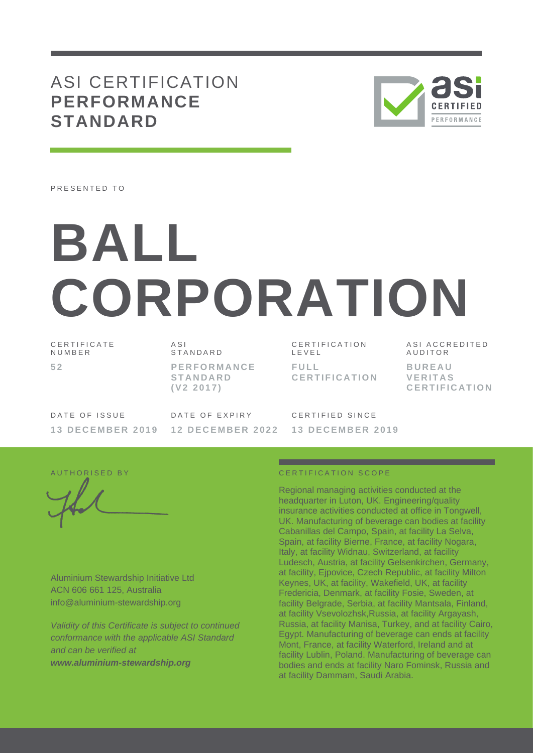## ASI CERTIFICATION **PERFORMANCE STANDARD**



PRESENTED TO

# **BALL CORPORATION**

C E R T I F I C A T E **NUMBER 5 2**

A S I **STANDARD P E R F O R M A N C E S T A N D A R D ( V 2 2 0 1 7 )**

C E R T I F I C A T I O N L E V E L **F U L L C E R T I F I C A T I O N** A S I A C C R E D I T E D **AUDITOR B U R E A U V E R I T A S C E R T I F I C A T I O N**

DATE OF ISSUE **1 3 D E C E M B E R 2 0 1 9** DATE OF EXPIRY **1 2 D E C E M B E R 2 0 2 2**

C F R T I F I F D S I N C F **1 3 D E C E M B E R 2 0 1 9**

Aluminium Stewardship Initiative Ltd ACN 606 661 125, Australia info@aluminium-stewardship.org

*Validity of this Certificate is subject to continued conformance with the applicable ASI Standard and can be verified at www.aluminium-stewardship.org*

#### A UT HORISED BY CERTIFICATION SCOPE

Regional managing activities conducted at the headquarter in Luton, UK. Engineering/quality insurance activities conducted at office in Tongwell, UK. Manufacturing of beverage can bodies at facility Cabanillas del Campo, Spain, at facility La Selva, Spain, at facility Bierne, France, at facility Nogara, Italy, at facility Widnau, Switzerland, at facility Ludesch, Austria, at facility Gelsenkirchen, Germany, at facility, Ejpovice, Czech Republic, at facility Milton Keynes, UK, at facility, Wakefield, UK, at facility Fredericia, Denmark, at facility Fosie, Sweden, at facility Belgrade, Serbia, at facility Mantsala, Finland, at facility Vsevolozhsk,Russia, at facility Argayash, Russia, at facility Manisa, Turkey, and at facility Cairo, Egypt. Manufacturing of beverage can ends at facility Mont, France, at facility Waterford, Ireland and at facility Lublin, Poland. Manufacturing of beverage can bodies and ends at facility Naro Fominsk, Russia and at facility Dammam, Saudi Arabia.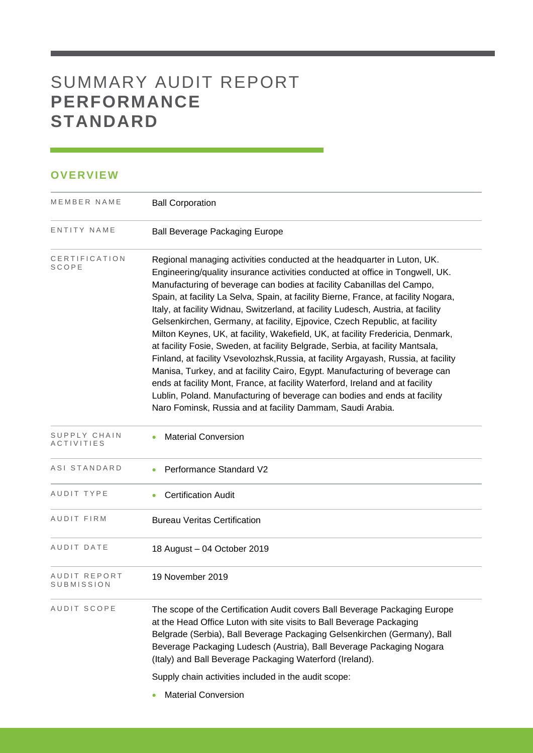## SUMMARY AUDIT REPORT **PERFORMANCE STANDARD**

#### **OVERVIEW**

| <b>Ball Beverage Packaging Europe</b>                                                                                                                                                                                                                                                                                                                                                                                                                                                                                                                                                                                                                                                                                                                                                                                                                                                                                                                                                                                                                               |
|---------------------------------------------------------------------------------------------------------------------------------------------------------------------------------------------------------------------------------------------------------------------------------------------------------------------------------------------------------------------------------------------------------------------------------------------------------------------------------------------------------------------------------------------------------------------------------------------------------------------------------------------------------------------------------------------------------------------------------------------------------------------------------------------------------------------------------------------------------------------------------------------------------------------------------------------------------------------------------------------------------------------------------------------------------------------|
| Regional managing activities conducted at the headquarter in Luton, UK.<br>Engineering/quality insurance activities conducted at office in Tongwell, UK.<br>Manufacturing of beverage can bodies at facility Cabanillas del Campo,<br>Spain, at facility La Selva, Spain, at facility Bierne, France, at facility Nogara,<br>Italy, at facility Widnau, Switzerland, at facility Ludesch, Austria, at facility<br>Gelsenkirchen, Germany, at facility, Ejpovice, Czech Republic, at facility<br>Milton Keynes, UK, at facility, Wakefield, UK, at facility Fredericia, Denmark,<br>at facility Fosie, Sweden, at facility Belgrade, Serbia, at facility Mantsala,<br>Finland, at facility Vsevolozhsk, Russia, at facility Argayash, Russia, at facility<br>Manisa, Turkey, and at facility Cairo, Egypt. Manufacturing of beverage can<br>ends at facility Mont, France, at facility Waterford, Ireland and at facility<br>Lublin, Poland. Manufacturing of beverage can bodies and ends at facility<br>Naro Fominsk, Russia and at facility Dammam, Saudi Arabia. |
| <b>Material Conversion</b>                                                                                                                                                                                                                                                                                                                                                                                                                                                                                                                                                                                                                                                                                                                                                                                                                                                                                                                                                                                                                                          |
| <b>Performance Standard V2</b>                                                                                                                                                                                                                                                                                                                                                                                                                                                                                                                                                                                                                                                                                                                                                                                                                                                                                                                                                                                                                                      |
| <b>Certification Audit</b>                                                                                                                                                                                                                                                                                                                                                                                                                                                                                                                                                                                                                                                                                                                                                                                                                                                                                                                                                                                                                                          |
| <b>Bureau Veritas Certification</b>                                                                                                                                                                                                                                                                                                                                                                                                                                                                                                                                                                                                                                                                                                                                                                                                                                                                                                                                                                                                                                 |
| 18 August - 04 October 2019                                                                                                                                                                                                                                                                                                                                                                                                                                                                                                                                                                                                                                                                                                                                                                                                                                                                                                                                                                                                                                         |
| 19 November 2019                                                                                                                                                                                                                                                                                                                                                                                                                                                                                                                                                                                                                                                                                                                                                                                                                                                                                                                                                                                                                                                    |
| The scope of the Certification Audit covers Ball Beverage Packaging Europe<br>at the Head Office Luton with site visits to Ball Beverage Packaging<br>Belgrade (Serbia), Ball Beverage Packaging Gelsenkirchen (Germany), Ball<br>Beverage Packaging Ludesch (Austria), Ball Beverage Packaging Nogara<br>(Italy) and Ball Beverage Packaging Waterford (Ireland).<br>Supply chain activities included in the audit scope:                                                                                                                                                                                                                                                                                                                                                                                                                                                                                                                                                                                                                                          |
|                                                                                                                                                                                                                                                                                                                                                                                                                                                                                                                                                                                                                                                                                                                                                                                                                                                                                                                                                                                                                                                                     |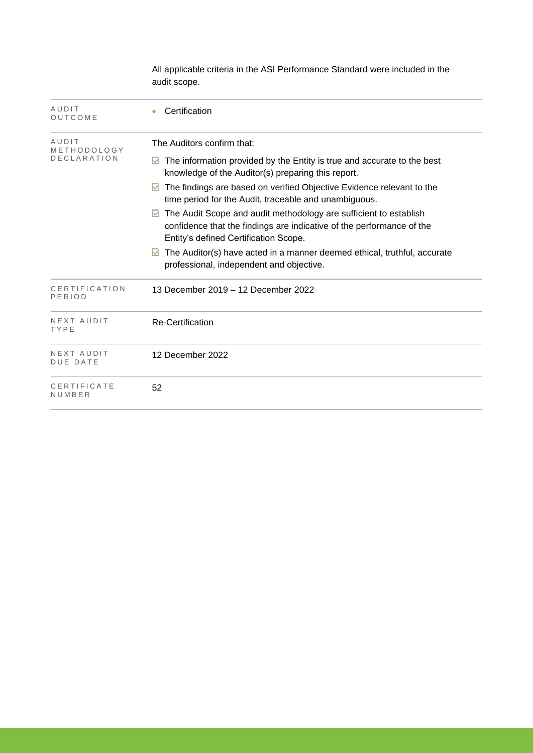|                               | All applicable criteria in the ASI Performance Standard were included in the<br>audit scope.                                                                                                            |
|-------------------------------|---------------------------------------------------------------------------------------------------------------------------------------------------------------------------------------------------------|
| AUDIT<br>OUTCOME              | Certification                                                                                                                                                                                           |
| AUDIT<br>METHODOLOGY          | The Auditors confirm that:                                                                                                                                                                              |
| <b>DECLARATION</b>            | The information provided by the Entity is true and accurate to the best<br>⊻<br>knowledge of the Auditor(s) preparing this report.                                                                      |
|                               | The findings are based on verified Objective Evidence relevant to the<br>time period for the Audit, traceable and unambiguous.                                                                          |
|                               | The Audit Scope and audit methodology are sufficient to establish<br>$\triangleright$<br>confidence that the findings are indicative of the performance of the<br>Entity's defined Certification Scope. |
|                               | The Auditor(s) have acted in a manner deemed ethical, truthful, accurate<br>professional, independent and objective.                                                                                    |
| CERTIFICATION<br>PERIOD       | 13 December 2019 - 12 December 2022                                                                                                                                                                     |
| NEXT AUDIT<br>TYPE            | <b>Re-Certification</b>                                                                                                                                                                                 |
| NEXT AUDIT<br><b>DUE DATE</b> | 12 December 2022                                                                                                                                                                                        |
| CERTIFICATE<br>NUMBER         | 52                                                                                                                                                                                                      |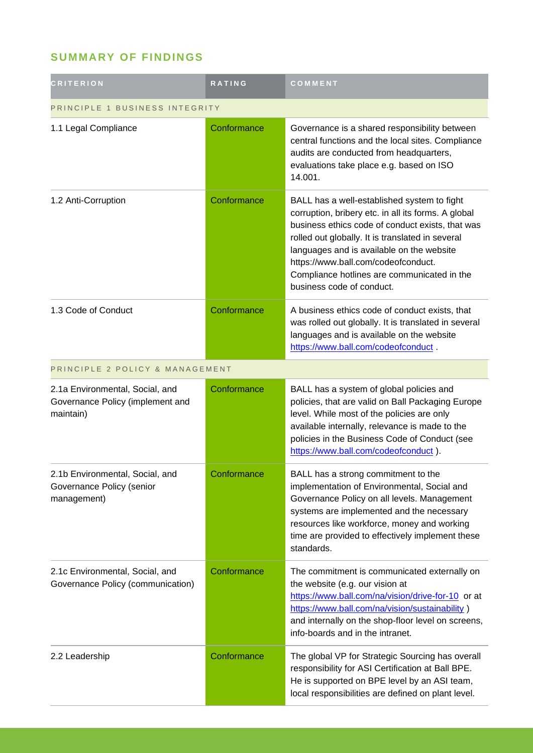### **SUMMARY OF FINDINGS**

| <b>CRITERION</b>                                                                 | <b>RATING</b> | COMMENT                                                                                                                                                                                                                                                                                                                                                                    |  |
|----------------------------------------------------------------------------------|---------------|----------------------------------------------------------------------------------------------------------------------------------------------------------------------------------------------------------------------------------------------------------------------------------------------------------------------------------------------------------------------------|--|
| PRINCIPLE 1 BUSINESS INTEGRITY                                                   |               |                                                                                                                                                                                                                                                                                                                                                                            |  |
| 1.1 Legal Compliance                                                             | Conformance   | Governance is a shared responsibility between<br>central functions and the local sites. Compliance<br>audits are conducted from headquarters,<br>evaluations take place e.g. based on ISO<br>14.001.                                                                                                                                                                       |  |
| 1.2 Anti-Corruption                                                              | Conformance   | BALL has a well-established system to fight<br>corruption, bribery etc. in all its forms. A global<br>business ethics code of conduct exists, that was<br>rolled out globally. It is translated in several<br>languages and is available on the website<br>https://www.ball.com/codeofconduct.<br>Compliance hotlines are communicated in the<br>business code of conduct. |  |
| 1.3 Code of Conduct                                                              | Conformance   | A business ethics code of conduct exists, that<br>was rolled out globally. It is translated in several<br>languages and is available on the website<br>https://www.ball.com/codeofconduct.                                                                                                                                                                                 |  |
| PRINCIPLE 2 POLICY & MANAGEMENT                                                  |               |                                                                                                                                                                                                                                                                                                                                                                            |  |
| 2.1a Environmental, Social, and<br>Governance Policy (implement and<br>maintain) | Conformance   | BALL has a system of global policies and<br>policies, that are valid on Ball Packaging Europe<br>level. While most of the policies are only<br>available internally, relevance is made to the<br>policies in the Business Code of Conduct (see<br>https://www.ball.com/codeofconduct).                                                                                     |  |
| 2.1b Environmental, Social, and<br>Governance Policy (senior<br>management)      | Conformance   | BALL has a strong commitment to the<br>implementation of Environmental, Social and<br>Governance Policy on all levels. Management<br>systems are implemented and the necessary<br>resources like workforce, money and working<br>time are provided to effectively implement these<br>standards.                                                                            |  |
| 2.1c Environmental, Social, and<br>Governance Policy (communication)             | Conformance   | The commitment is communicated externally on<br>the website (e.g. our vision at<br>https://www.ball.com/na/vision/drive-for-10 or at<br>https://www.ball.com/na/vision/sustainability)<br>and internally on the shop-floor level on screens,<br>info-boards and in the intranet.                                                                                           |  |
| 2.2 Leadership                                                                   | Conformance   | The global VP for Strategic Sourcing has overall<br>responsibility for ASI Certification at Ball BPE.<br>He is supported on BPE level by an ASI team,<br>local responsibilities are defined on plant level.                                                                                                                                                                |  |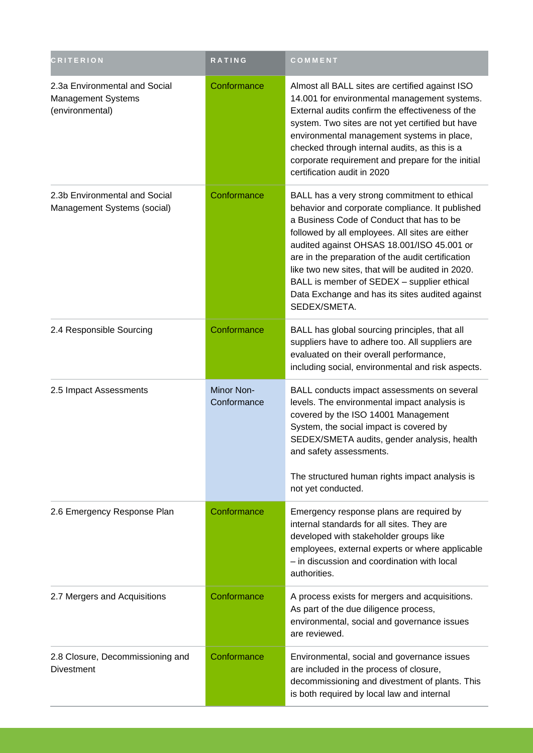| <b>CRITERION</b>                                                              | RATING                    | COMMENT                                                                                                                                                                                                                                                                                                                                                                                                                                                                  |
|-------------------------------------------------------------------------------|---------------------------|--------------------------------------------------------------------------------------------------------------------------------------------------------------------------------------------------------------------------------------------------------------------------------------------------------------------------------------------------------------------------------------------------------------------------------------------------------------------------|
| 2.3a Environmental and Social<br><b>Management Systems</b><br>(environmental) | Conformance               | Almost all BALL sites are certified against ISO<br>14.001 for environmental management systems.<br>External audits confirm the effectiveness of the<br>system. Two sites are not yet certified but have<br>environmental management systems in place,<br>checked through internal audits, as this is a<br>corporate requirement and prepare for the initial<br>certification audit in 2020                                                                               |
| 2.3b Environmental and Social<br>Management Systems (social)                  | Conformance               | BALL has a very strong commitment to ethical<br>behavior and corporate compliance. It published<br>a Business Code of Conduct that has to be<br>followed by all employees. All sites are either<br>audited against OHSAS 18.001/ISO 45.001 or<br>are in the preparation of the audit certification<br>like two new sites, that will be audited in 2020.<br>BALL is member of SEDEX - supplier ethical<br>Data Exchange and has its sites audited against<br>SEDEX/SMETA. |
| 2.4 Responsible Sourcing                                                      | Conformance               | BALL has global sourcing principles, that all<br>suppliers have to adhere too. All suppliers are<br>evaluated on their overall performance,<br>including social, environmental and risk aspects.                                                                                                                                                                                                                                                                         |
| 2.5 Impact Assessments                                                        | Minor Non-<br>Conformance | BALL conducts impact assessments on several<br>levels. The environmental impact analysis is<br>covered by the ISO 14001 Management<br>System, the social impact is covered by<br>SEDEX/SMETA audits, gender analysis, health<br>and safety assessments.<br>The structured human rights impact analysis is<br>not yet conducted.                                                                                                                                          |
| 2.6 Emergency Response Plan                                                   | Conformance               | Emergency response plans are required by<br>internal standards for all sites. They are<br>developed with stakeholder groups like<br>employees, external experts or where applicable<br>- in discussion and coordination with local<br>authorities.                                                                                                                                                                                                                       |
| 2.7 Mergers and Acquisitions                                                  | Conformance               | A process exists for mergers and acquisitions.<br>As part of the due diligence process,<br>environmental, social and governance issues<br>are reviewed.                                                                                                                                                                                                                                                                                                                  |
| 2.8 Closure, Decommissioning and<br><b>Divestment</b>                         | Conformance               | Environmental, social and governance issues<br>are included in the process of closure,<br>decommissioning and divestment of plants. This<br>is both required by local law and internal                                                                                                                                                                                                                                                                                   |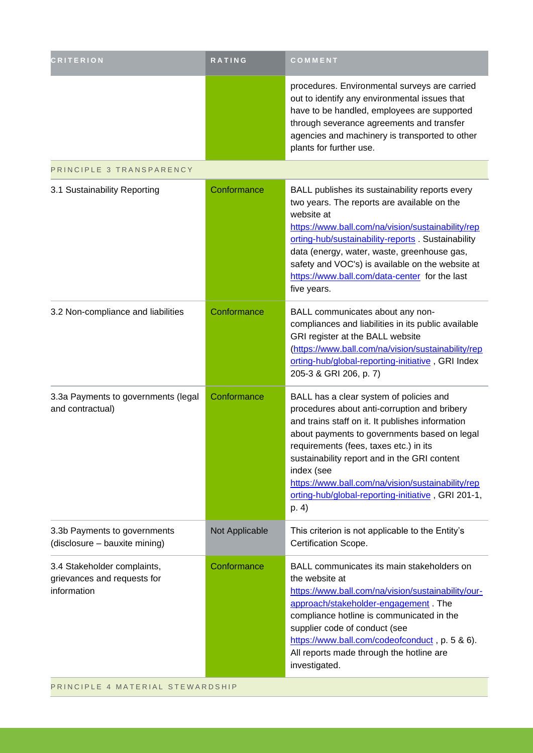| <b>CRITERION</b>                                                          | RATING         | COMMENT                                                                                                                                                                                                                                                                                                                                                                                                                 |
|---------------------------------------------------------------------------|----------------|-------------------------------------------------------------------------------------------------------------------------------------------------------------------------------------------------------------------------------------------------------------------------------------------------------------------------------------------------------------------------------------------------------------------------|
|                                                                           |                | procedures. Environmental surveys are carried<br>out to identify any environmental issues that<br>have to be handled, employees are supported<br>through severance agreements and transfer<br>agencies and machinery is transported to other<br>plants for further use.                                                                                                                                                 |
| PRINCIPLE 3 TRANSPARENCY                                                  |                |                                                                                                                                                                                                                                                                                                                                                                                                                         |
| 3.1 Sustainability Reporting                                              | Conformance    | BALL publishes its sustainability reports every<br>two years. The reports are available on the<br>website at<br>https://www.ball.com/na/vision/sustainability/rep<br>orting-hub/sustainability-reports Sustainability<br>data (energy, water, waste, greenhouse gas,<br>safety and VOC's) is available on the website at<br>https://www.ball.com/data-center for the last<br>five years.                                |
| 3.2 Non-compliance and liabilities                                        | Conformance    | BALL communicates about any non-<br>compliances and liabilities in its public available<br>GRI register at the BALL website<br>(https://www.ball.com/na/vision/sustainability/rep<br>orting-hub/global-reporting-initiative, GRI Index<br>205-3 & GRI 206, p. 7)                                                                                                                                                        |
| 3.3a Payments to governments (legal<br>and contractual)                   | Conformance    | BALL has a clear system of policies and<br>procedures about anti-corruption and bribery<br>and trains staff on it. It publishes information<br>about payments to governments based on legal<br>requirements (fees, taxes etc.) in its<br>sustainability report and in the GRI content<br>index (see<br>https://www.ball.com/na/vision/sustainability/rep<br>orting-hub/global-reporting-initiative, GRI 201-1,<br>p. 4) |
| 3.3b Payments to governments<br>(disclosure - bauxite mining)             | Not Applicable | This criterion is not applicable to the Entity's<br>Certification Scope.                                                                                                                                                                                                                                                                                                                                                |
| 3.4 Stakeholder complaints,<br>grievances and requests for<br>information | Conformance    | BALL communicates its main stakeholders on<br>the website at<br>https://www.ball.com/na/vision/sustainability/our-<br>approach/stakeholder-engagement. The<br>compliance hotline is communicated in the<br>supplier code of conduct (see<br>https://www.ball.com/codeofconduct, p. 5 & 6).<br>All reports made through the hotline are<br>investigated.                                                                 |
| PRINCIPLE 4 MATERIAL STEWARDSHIP                                          |                |                                                                                                                                                                                                                                                                                                                                                                                                                         |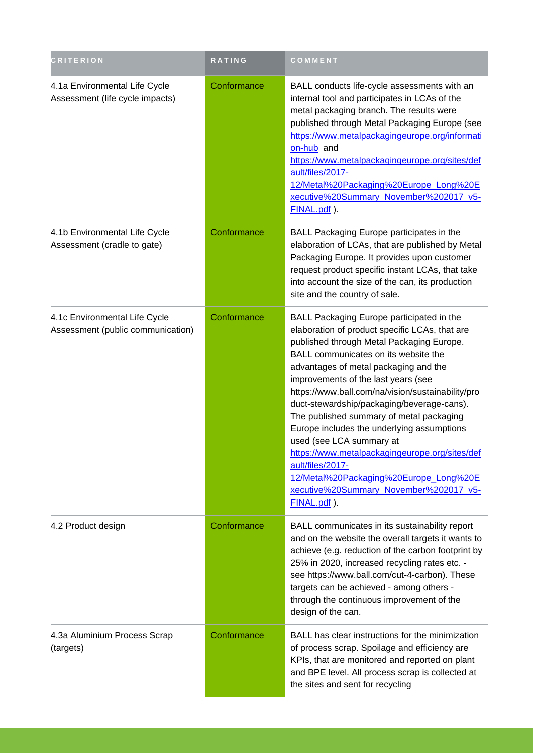| <b>CRITERION</b>                                                   | RATING      | COMMENT                                                                                                                                                                                                                                                                                                                                                                                                                                                                                                                                                                                                                                                            |
|--------------------------------------------------------------------|-------------|--------------------------------------------------------------------------------------------------------------------------------------------------------------------------------------------------------------------------------------------------------------------------------------------------------------------------------------------------------------------------------------------------------------------------------------------------------------------------------------------------------------------------------------------------------------------------------------------------------------------------------------------------------------------|
| 4.1a Environmental Life Cycle<br>Assessment (life cycle impacts)   | Conformance | BALL conducts life-cycle assessments with an<br>internal tool and participates in LCAs of the<br>metal packaging branch. The results were<br>published through Metal Packaging Europe (see<br>https://www.metalpackagingeurope.org/informati<br>on-hub and<br>https://www.metalpackagingeurope.org/sites/def<br>ault/files/2017-<br>12/Metal%20Packaging%20Europe Long%20E<br>xecutive%20Summary_November%202017_v5-<br>FINAL.pdf).                                                                                                                                                                                                                                |
| 4.1b Environmental Life Cycle<br>Assessment (cradle to gate)       | Conformance | BALL Packaging Europe participates in the<br>elaboration of LCAs, that are published by Metal<br>Packaging Europe. It provides upon customer<br>request product specific instant LCAs, that take<br>into account the size of the can, its production<br>site and the country of sale.                                                                                                                                                                                                                                                                                                                                                                              |
| 4.1c Environmental Life Cycle<br>Assessment (public communication) | Conformance | BALL Packaging Europe participated in the<br>elaboration of product specific LCAs, that are<br>published through Metal Packaging Europe.<br>BALL communicates on its website the<br>advantages of metal packaging and the<br>improvements of the last years (see<br>https://www.ball.com/na/vision/sustainability/pro<br>duct-stewardship/packaging/beverage-cans).<br>The published summary of metal packaging<br>Europe includes the underlying assumptions<br>used (see LCA summary at<br>https://www.metalpackagingeurope.org/sites/def<br>ault/files/2017-<br>12/Metal%20Packaging%20Europe_Long%20E<br>xecutive%20Summary_November%202017_v5-<br>FINAL.pdf). |
| 4.2 Product design                                                 | Conformance | BALL communicates in its sustainability report<br>and on the website the overall targets it wants to<br>achieve (e.g. reduction of the carbon footprint by<br>25% in 2020, increased recycling rates etc. -<br>see https://www.ball.com/cut-4-carbon). These<br>targets can be achieved - among others -<br>through the continuous improvement of the<br>design of the can.                                                                                                                                                                                                                                                                                        |
| 4.3a Aluminium Process Scrap<br>(targets)                          | Conformance | BALL has clear instructions for the minimization<br>of process scrap. Spoilage and efficiency are<br>KPIs, that are monitored and reported on plant<br>and BPE level. All process scrap is collected at<br>the sites and sent for recycling                                                                                                                                                                                                                                                                                                                                                                                                                        |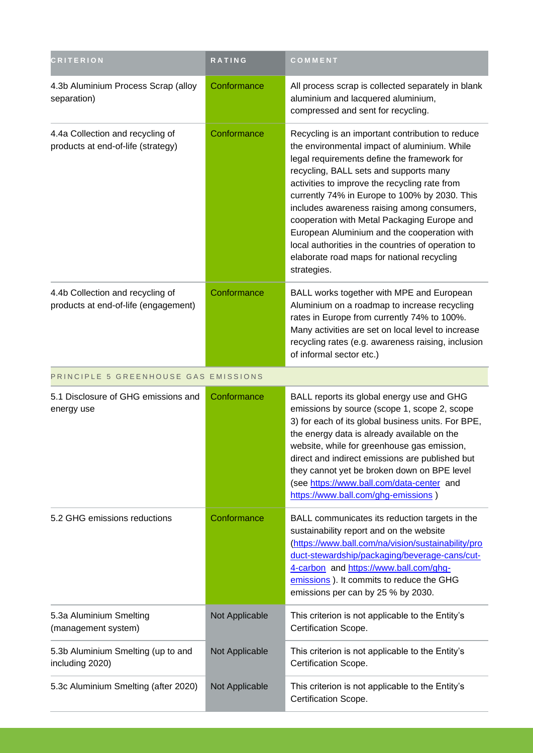| <b>CRITERION</b>                                                         | RATING         | COMMENT                                                                                                                                                                                                                                                                                                                                                                                                                                                                                                                                                     |
|--------------------------------------------------------------------------|----------------|-------------------------------------------------------------------------------------------------------------------------------------------------------------------------------------------------------------------------------------------------------------------------------------------------------------------------------------------------------------------------------------------------------------------------------------------------------------------------------------------------------------------------------------------------------------|
| 4.3b Aluminium Process Scrap (alloy<br>separation)                       | Conformance    | All process scrap is collected separately in blank<br>aluminium and lacquered aluminium,<br>compressed and sent for recycling.                                                                                                                                                                                                                                                                                                                                                                                                                              |
| 4.4a Collection and recycling of<br>products at end-of-life (strategy)   | Conformance    | Recycling is an important contribution to reduce<br>the environmental impact of aluminium. While<br>legal requirements define the framework for<br>recycling, BALL sets and supports many<br>activities to improve the recycling rate from<br>currently 74% in Europe to 100% by 2030. This<br>includes awareness raising among consumers,<br>cooperation with Metal Packaging Europe and<br>European Aluminium and the cooperation with<br>local authorities in the countries of operation to<br>elaborate road maps for national recycling<br>strategies. |
| 4.4b Collection and recycling of<br>products at end-of-life (engagement) | Conformance    | BALL works together with MPE and European<br>Aluminium on a roadmap to increase recycling<br>rates in Europe from currently 74% to 100%.<br>Many activities are set on local level to increase<br>recycling rates (e.g. awareness raising, inclusion<br>of informal sector etc.)                                                                                                                                                                                                                                                                            |
| PRINCIPLE 5 GREENHOUSE GAS EMISSIONS                                     |                |                                                                                                                                                                                                                                                                                                                                                                                                                                                                                                                                                             |
| 5.1 Disclosure of GHG emissions and<br>energy use                        | Conformance    | BALL reports its global energy use and GHG<br>emissions by source (scope 1, scope 2, scope<br>3) for each of its global business units. For BPE,<br>the energy data is already available on the<br>website, while for greenhouse gas emission,<br>direct and indirect emissions are published but<br>they cannot yet be broken down on BPE level<br>(see https://www.ball.com/data-center and<br>https://www.ball.com/ghg-emissions)                                                                                                                        |
| 5.2 GHG emissions reductions                                             | Conformance    | BALL communicates its reduction targets in the<br>sustainability report and on the website<br>(https://www.ball.com/na/vision/sustainability/pro<br>duct-stewardship/packaging/beverage-cans/cut-<br>4-carbon and https://www.ball.com/ghg-<br>emissions). It commits to reduce the GHG<br>emissions per can by 25 % by 2030.                                                                                                                                                                                                                               |
| 5.3a Aluminium Smelting<br>(management system)                           | Not Applicable | This criterion is not applicable to the Entity's<br>Certification Scope.                                                                                                                                                                                                                                                                                                                                                                                                                                                                                    |
| 5.3b Aluminium Smelting (up to and<br>including 2020)                    | Not Applicable | This criterion is not applicable to the Entity's<br>Certification Scope.                                                                                                                                                                                                                                                                                                                                                                                                                                                                                    |
| 5.3c Aluminium Smelting (after 2020)                                     | Not Applicable | This criterion is not applicable to the Entity's<br>Certification Scope.                                                                                                                                                                                                                                                                                                                                                                                                                                                                                    |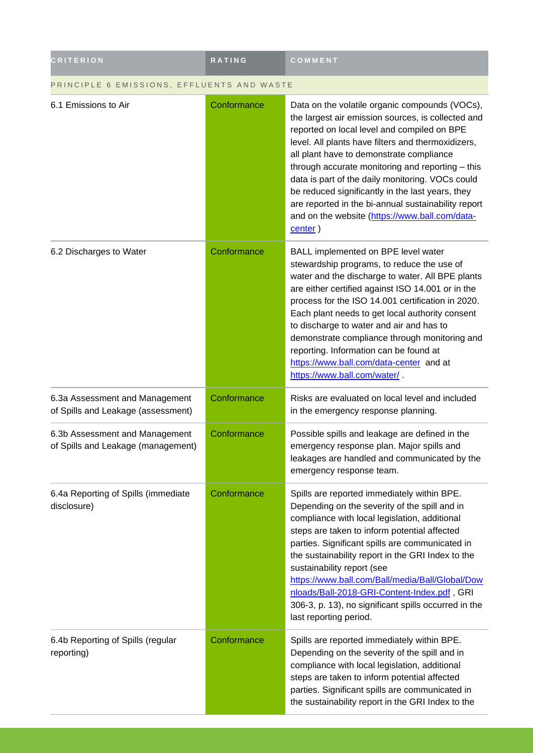| <b>CRITERION</b>                                                     | RATING      | COMMENT                                                                                                                                                                                                                                                                                                                                                                                                                                                                                                                               |  |
|----------------------------------------------------------------------|-------------|---------------------------------------------------------------------------------------------------------------------------------------------------------------------------------------------------------------------------------------------------------------------------------------------------------------------------------------------------------------------------------------------------------------------------------------------------------------------------------------------------------------------------------------|--|
| PRINCIPLE 6 EMISSIONS, EFFLUENTS AND WASTE                           |             |                                                                                                                                                                                                                                                                                                                                                                                                                                                                                                                                       |  |
| 6.1 Emissions to Air                                                 | Conformance | Data on the volatile organic compounds (VOCs),<br>the largest air emission sources, is collected and<br>reported on local level and compiled on BPE<br>level. All plants have filters and thermoxidizers,<br>all plant have to demonstrate compliance<br>through accurate monitoring and reporting - this<br>data is part of the daily monitoring. VOCs could<br>be reduced significantly in the last years, they<br>are reported in the bi-annual sustainability report<br>and on the website (https://www.ball.com/data-<br>center) |  |
| 6.2 Discharges to Water                                              | Conformance | BALL implemented on BPE level water<br>stewardship programs, to reduce the use of<br>water and the discharge to water. All BPE plants<br>are either certified against ISO 14.001 or in the<br>process for the ISO 14.001 certification in 2020.<br>Each plant needs to get local authority consent<br>to discharge to water and air and has to<br>demonstrate compliance through monitoring and<br>reporting. Information can be found at<br>https://www.ball.com/data-center and at<br>https://www.ball.com/water/                   |  |
| 6.3a Assessment and Management<br>of Spills and Leakage (assessment) | Conformance | Risks are evaluated on local level and included<br>in the emergency response planning.                                                                                                                                                                                                                                                                                                                                                                                                                                                |  |
| 6.3b Assessment and Management<br>of Spills and Leakage (management) | Conformance | Possible spills and leakage are defined in the<br>emergency response plan. Major spills and<br>leakages are handled and communicated by the<br>emergency response team.                                                                                                                                                                                                                                                                                                                                                               |  |
| 6.4a Reporting of Spills (immediate<br>disclosure)                   | Conformance | Spills are reported immediately within BPE.<br>Depending on the severity of the spill and in<br>compliance with local legislation, additional<br>steps are taken to inform potential affected<br>parties. Significant spills are communicated in<br>the sustainability report in the GRI Index to the<br>sustainability report (see<br>https://www.ball.com/Ball/media/Ball/Global/Dow<br>nloads/Ball-2018-GRI-Content-Index.pdf, GRI<br>306-3, p. 13), no significant spills occurred in the<br>last reporting period.               |  |
| 6.4b Reporting of Spills (regular<br>reporting)                      | Conformance | Spills are reported immediately within BPE.<br>Depending on the severity of the spill and in<br>compliance with local legislation, additional<br>steps are taken to inform potential affected<br>parties. Significant spills are communicated in<br>the sustainability report in the GRI Index to the                                                                                                                                                                                                                                 |  |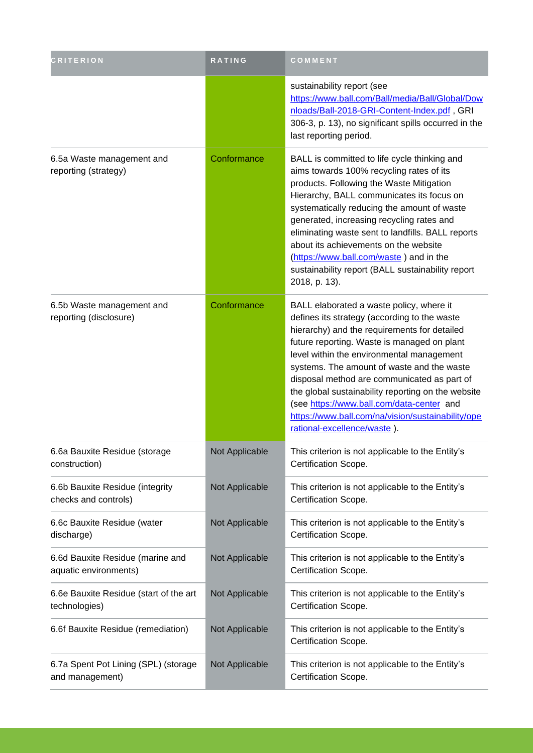| <b>CRITERION</b>                                          | RATING         | COMMENT                                                                                                                                                                                                                                                                                                                                                                                                                                                                                                                  |
|-----------------------------------------------------------|----------------|--------------------------------------------------------------------------------------------------------------------------------------------------------------------------------------------------------------------------------------------------------------------------------------------------------------------------------------------------------------------------------------------------------------------------------------------------------------------------------------------------------------------------|
|                                                           |                | sustainability report (see<br>https://www.ball.com/Ball/media/Ball/Global/Dow<br>nloads/Ball-2018-GRI-Content-Index.pdf, GRI<br>306-3, p. 13), no significant spills occurred in the<br>last reporting period.                                                                                                                                                                                                                                                                                                           |
| 6.5a Waste management and<br>reporting (strategy)         | Conformance    | BALL is committed to life cycle thinking and<br>aims towards 100% recycling rates of its<br>products. Following the Waste Mitigation<br>Hierarchy, BALL communicates its focus on<br>systematically reducing the amount of waste<br>generated, increasing recycling rates and<br>eliminating waste sent to landfills. BALL reports<br>about its achievements on the website<br>(https://www.ball.com/waste) and in the<br>sustainability report (BALL sustainability report<br>2018, p. 13).                             |
| 6.5b Waste management and<br>reporting (disclosure)       | Conformance    | BALL elaborated a waste policy, where it<br>defines its strategy (according to the waste<br>hierarchy) and the requirements for detailed<br>future reporting. Waste is managed on plant<br>level within the environmental management<br>systems. The amount of waste and the waste<br>disposal method are communicated as part of<br>the global sustainability reporting on the website<br>(see https://www.ball.com/data-center and<br>https://www.ball.com/na/vision/sustainability/ope<br>rational-excellence/waste). |
| 6.6a Bauxite Residue (storage<br>construction)            | Not Applicable | This criterion is not applicable to the Entity's<br>Certification Scope.                                                                                                                                                                                                                                                                                                                                                                                                                                                 |
| 6.6b Bauxite Residue (integrity<br>checks and controls)   | Not Applicable | This criterion is not applicable to the Entity's<br>Certification Scope.                                                                                                                                                                                                                                                                                                                                                                                                                                                 |
| 6.6c Bauxite Residue (water<br>discharge)                 | Not Applicable | This criterion is not applicable to the Entity's<br>Certification Scope.                                                                                                                                                                                                                                                                                                                                                                                                                                                 |
| 6.6d Bauxite Residue (marine and<br>aquatic environments) | Not Applicable | This criterion is not applicable to the Entity's<br>Certification Scope.                                                                                                                                                                                                                                                                                                                                                                                                                                                 |
| 6.6e Bauxite Residue (start of the art<br>technologies)   | Not Applicable | This criterion is not applicable to the Entity's<br>Certification Scope.                                                                                                                                                                                                                                                                                                                                                                                                                                                 |
| 6.6f Bauxite Residue (remediation)                        | Not Applicable | This criterion is not applicable to the Entity's<br>Certification Scope.                                                                                                                                                                                                                                                                                                                                                                                                                                                 |
| 6.7a Spent Pot Lining (SPL) (storage<br>and management)   | Not Applicable | This criterion is not applicable to the Entity's<br>Certification Scope.                                                                                                                                                                                                                                                                                                                                                                                                                                                 |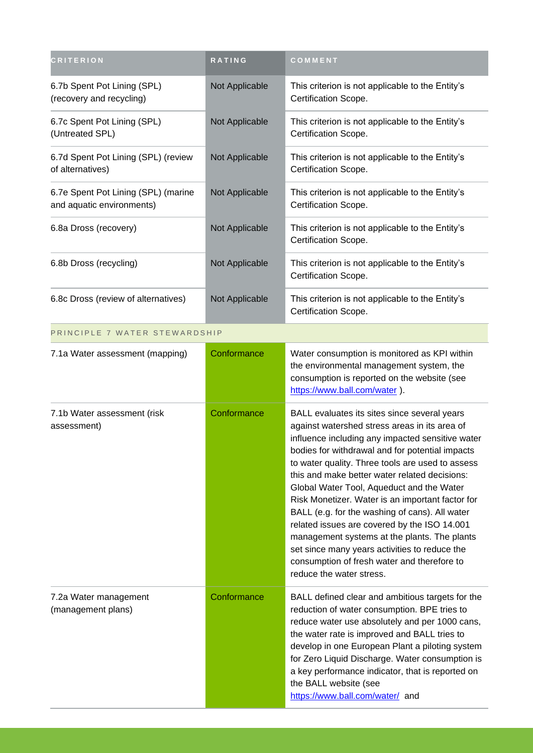| <b>CRITERION</b>                                                 | RATING         | COMMENT                                                                                                                                                                                                                                                                                                                                                                                                                                                                                                                                                                                                                                                                                  |
|------------------------------------------------------------------|----------------|------------------------------------------------------------------------------------------------------------------------------------------------------------------------------------------------------------------------------------------------------------------------------------------------------------------------------------------------------------------------------------------------------------------------------------------------------------------------------------------------------------------------------------------------------------------------------------------------------------------------------------------------------------------------------------------|
| 6.7b Spent Pot Lining (SPL)<br>(recovery and recycling)          | Not Applicable | This criterion is not applicable to the Entity's<br>Certification Scope.                                                                                                                                                                                                                                                                                                                                                                                                                                                                                                                                                                                                                 |
| 6.7c Spent Pot Lining (SPL)<br>(Untreated SPL)                   | Not Applicable | This criterion is not applicable to the Entity's<br>Certification Scope.                                                                                                                                                                                                                                                                                                                                                                                                                                                                                                                                                                                                                 |
| 6.7d Spent Pot Lining (SPL) (review<br>of alternatives)          | Not Applicable | This criterion is not applicable to the Entity's<br>Certification Scope.                                                                                                                                                                                                                                                                                                                                                                                                                                                                                                                                                                                                                 |
| 6.7e Spent Pot Lining (SPL) (marine<br>and aquatic environments) | Not Applicable | This criterion is not applicable to the Entity's<br>Certification Scope.                                                                                                                                                                                                                                                                                                                                                                                                                                                                                                                                                                                                                 |
| 6.8a Dross (recovery)                                            | Not Applicable | This criterion is not applicable to the Entity's<br>Certification Scope.                                                                                                                                                                                                                                                                                                                                                                                                                                                                                                                                                                                                                 |
| 6.8b Dross (recycling)                                           | Not Applicable | This criterion is not applicable to the Entity's<br>Certification Scope.                                                                                                                                                                                                                                                                                                                                                                                                                                                                                                                                                                                                                 |
| 6.8c Dross (review of alternatives)                              | Not Applicable | This criterion is not applicable to the Entity's<br>Certification Scope.                                                                                                                                                                                                                                                                                                                                                                                                                                                                                                                                                                                                                 |
| PRINCIPLE 7 WATER STEWARDSHIP                                    |                |                                                                                                                                                                                                                                                                                                                                                                                                                                                                                                                                                                                                                                                                                          |
| 7.1a Water assessment (mapping)                                  | Conformance    | Water consumption is monitored as KPI within<br>the environmental management system, the<br>consumption is reported on the website (see<br>https://www.ball.com/water ).                                                                                                                                                                                                                                                                                                                                                                                                                                                                                                                 |
| 7.1b Water assessment (risk<br>assessment)                       | Conformance    | BALL evaluates its sites since several years<br>against watershed stress areas in its area of<br>influence including any impacted sensitive water<br>bodies for withdrawal and for potential impacts<br>to water quality. Three tools are used to assess<br>this and make better water related decisions:<br>Global Water Tool, Aqueduct and the Water<br>Risk Monetizer. Water is an important factor for<br>BALL (e.g. for the washing of cans). All water<br>related issues are covered by the ISO 14.001<br>management systems at the plants. The plants<br>set since many years activities to reduce the<br>consumption of fresh water and therefore to<br>reduce the water stress. |
| 7.2a Water management<br>(management plans)                      | Conformance    | BALL defined clear and ambitious targets for the<br>reduction of water consumption. BPE tries to<br>reduce water use absolutely and per 1000 cans,<br>the water rate is improved and BALL tries to<br>develop in one European Plant a piloting system<br>for Zero Liquid Discharge. Water consumption is<br>a key performance indicator, that is reported on<br>the BALL website (see<br>https://www.ball.com/water/ and                                                                                                                                                                                                                                                                 |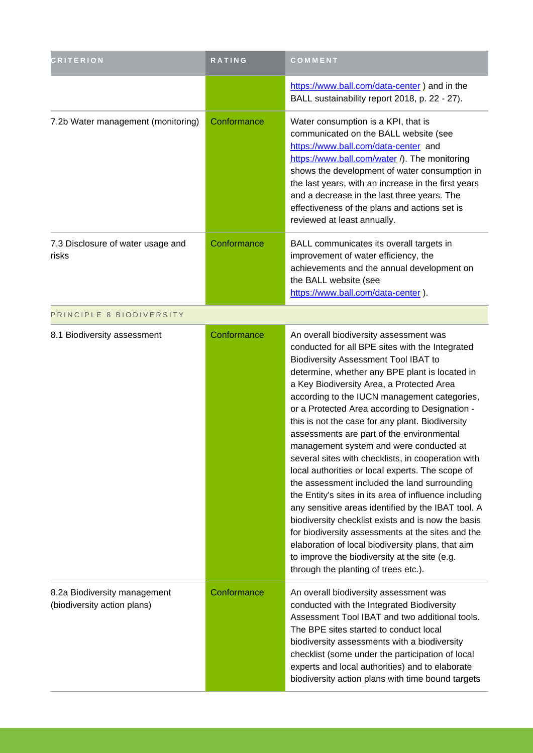| <b>CRITERION</b>                                            | RATING      | COMMENT                                                                                                                                                                                                                                                                                                                                                                                                                                                                                                                                                                                                                                                                                                                                                                                                                                                                                                                                                                                                          |
|-------------------------------------------------------------|-------------|------------------------------------------------------------------------------------------------------------------------------------------------------------------------------------------------------------------------------------------------------------------------------------------------------------------------------------------------------------------------------------------------------------------------------------------------------------------------------------------------------------------------------------------------------------------------------------------------------------------------------------------------------------------------------------------------------------------------------------------------------------------------------------------------------------------------------------------------------------------------------------------------------------------------------------------------------------------------------------------------------------------|
|                                                             |             | https://www.ball.com/data-center) and in the<br>BALL sustainability report 2018, p. 22 - 27).                                                                                                                                                                                                                                                                                                                                                                                                                                                                                                                                                                                                                                                                                                                                                                                                                                                                                                                    |
| 7.2b Water management (monitoring)                          | Conformance | Water consumption is a KPI, that is<br>communicated on the BALL website (see<br>https://www.ball.com/data-center and<br>https://www.ball.com/water /). The monitoring<br>shows the development of water consumption in<br>the last years, with an increase in the first years<br>and a decrease in the last three years. The<br>effectiveness of the plans and actions set is<br>reviewed at least annually.                                                                                                                                                                                                                                                                                                                                                                                                                                                                                                                                                                                                     |
| 7.3 Disclosure of water usage and<br>risks                  | Conformance | BALL communicates its overall targets in<br>improvement of water efficiency, the<br>achievements and the annual development on<br>the BALL website (see<br>https://www.ball.com/data-center).                                                                                                                                                                                                                                                                                                                                                                                                                                                                                                                                                                                                                                                                                                                                                                                                                    |
| PRINCIPLE 8 BIODIVERSITY                                    |             |                                                                                                                                                                                                                                                                                                                                                                                                                                                                                                                                                                                                                                                                                                                                                                                                                                                                                                                                                                                                                  |
| 8.1 Biodiversity assessment                                 | Conformance | An overall biodiversity assessment was<br>conducted for all BPE sites with the Integrated<br>Biodiversity Assessment Tool IBAT to<br>determine, whether any BPE plant is located in<br>a Key Biodiversity Area, a Protected Area<br>according to the IUCN management categories,<br>or a Protected Area according to Designation -<br>this is not the case for any plant. Biodiversity<br>assessments are part of the environmental<br>management system and were conducted at<br>several sites with checklists, in cooperation with<br>local authorities or local experts. The scope of<br>the assessment included the land surrounding<br>the Entity's sites in its area of influence including<br>any sensitive areas identified by the IBAT tool. A<br>biodiversity checklist exists and is now the basis<br>for biodiversity assessments at the sites and the<br>elaboration of local biodiversity plans, that aim<br>to improve the biodiversity at the site (e.g.<br>through the planting of trees etc.). |
| 8.2a Biodiversity management<br>(biodiversity action plans) | Conformance | An overall biodiversity assessment was<br>conducted with the Integrated Biodiversity<br>Assessment Tool IBAT and two additional tools.<br>The BPE sites started to conduct local<br>biodiversity assessments with a biodiversity<br>checklist (some under the participation of local<br>experts and local authorities) and to elaborate<br>biodiversity action plans with time bound targets                                                                                                                                                                                                                                                                                                                                                                                                                                                                                                                                                                                                                     |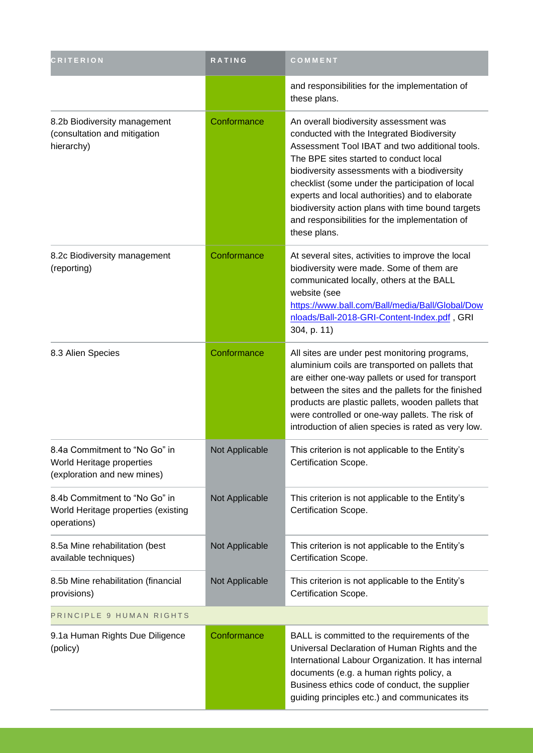| <b>CRITERION</b>                                                                          | RATING         | COMMENT                                                                                                                                                                                                                                                                                                                                                                                                                                                        |
|-------------------------------------------------------------------------------------------|----------------|----------------------------------------------------------------------------------------------------------------------------------------------------------------------------------------------------------------------------------------------------------------------------------------------------------------------------------------------------------------------------------------------------------------------------------------------------------------|
|                                                                                           |                | and responsibilities for the implementation of<br>these plans.                                                                                                                                                                                                                                                                                                                                                                                                 |
| 8.2b Biodiversity management<br>(consultation and mitigation<br>hierarchy)                | Conformance    | An overall biodiversity assessment was<br>conducted with the Integrated Biodiversity<br>Assessment Tool IBAT and two additional tools.<br>The BPE sites started to conduct local<br>biodiversity assessments with a biodiversity<br>checklist (some under the participation of local<br>experts and local authorities) and to elaborate<br>biodiversity action plans with time bound targets<br>and responsibilities for the implementation of<br>these plans. |
| 8.2c Biodiversity management<br>(reporting)                                               | Conformance    | At several sites, activities to improve the local<br>biodiversity were made. Some of them are<br>communicated locally, others at the BALL<br>website (see<br>https://www.ball.com/Ball/media/Ball/Global/Dow<br>nloads/Ball-2018-GRI-Content-Index.pdf, GRI<br>304, p. 11)                                                                                                                                                                                     |
| 8.3 Alien Species                                                                         | Conformance    | All sites are under pest monitoring programs,<br>aluminium coils are transported on pallets that<br>are either one-way pallets or used for transport<br>between the sites and the pallets for the finished<br>products are plastic pallets, wooden pallets that<br>were controlled or one-way pallets. The risk of<br>introduction of alien species is rated as very low.                                                                                      |
| 8.4a Commitment to "No Go" in<br>World Heritage properties<br>(exploration and new mines) | Not Applicable | This criterion is not applicable to the Entity's<br>Certification Scope.                                                                                                                                                                                                                                                                                                                                                                                       |
| 8.4b Commitment to "No Go" in<br>World Heritage properties (existing<br>operations)       | Not Applicable | This criterion is not applicable to the Entity's<br>Certification Scope.                                                                                                                                                                                                                                                                                                                                                                                       |
| 8.5a Mine rehabilitation (best<br>available techniques)                                   | Not Applicable | This criterion is not applicable to the Entity's<br>Certification Scope.                                                                                                                                                                                                                                                                                                                                                                                       |
| 8.5b Mine rehabilitation (financial<br>provisions)                                        | Not Applicable | This criterion is not applicable to the Entity's<br>Certification Scope.                                                                                                                                                                                                                                                                                                                                                                                       |
| PRINCIPLE 9 HUMAN RIGHTS                                                                  |                |                                                                                                                                                                                                                                                                                                                                                                                                                                                                |
| 9.1a Human Rights Due Diligence<br>(policy)                                               | Conformance    | BALL is committed to the requirements of the<br>Universal Declaration of Human Rights and the<br>International Labour Organization. It has internal<br>documents (e.g. a human rights policy, a<br>Business ethics code of conduct, the supplier<br>guiding principles etc.) and communicates its                                                                                                                                                              |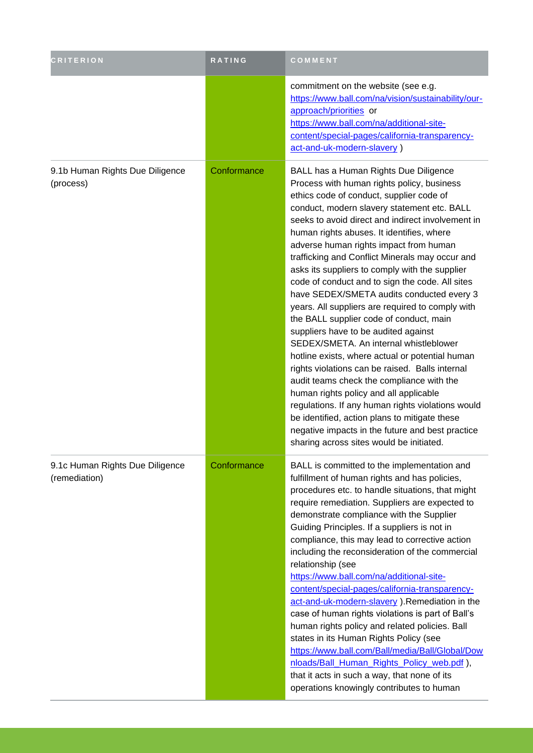| <b>CRITERION</b>                                 | RATING      | COMMENT                                                                                                                                                                                                                                                                                                                                                                                                                                                                                                                                                                                                                                                                                                                                                                                                                                                                                                                                                                                                                                                                                                             |
|--------------------------------------------------|-------------|---------------------------------------------------------------------------------------------------------------------------------------------------------------------------------------------------------------------------------------------------------------------------------------------------------------------------------------------------------------------------------------------------------------------------------------------------------------------------------------------------------------------------------------------------------------------------------------------------------------------------------------------------------------------------------------------------------------------------------------------------------------------------------------------------------------------------------------------------------------------------------------------------------------------------------------------------------------------------------------------------------------------------------------------------------------------------------------------------------------------|
|                                                  |             | commitment on the website (see e.g.<br>https://www.ball.com/na/vision/sustainability/our-<br>approach/priorities or<br>https://www.ball.com/na/additional-site-<br>content/special-pages/california-transparency-<br>act-and-uk-modern-slavery)                                                                                                                                                                                                                                                                                                                                                                                                                                                                                                                                                                                                                                                                                                                                                                                                                                                                     |
| 9.1b Human Rights Due Diligence<br>(process)     | Conformance | BALL has a Human Rights Due Diligence<br>Process with human rights policy, business<br>ethics code of conduct, supplier code of<br>conduct, modern slavery statement etc. BALL<br>seeks to avoid direct and indirect involvement in<br>human rights abuses. It identifies, where<br>adverse human rights impact from human<br>trafficking and Conflict Minerals may occur and<br>asks its suppliers to comply with the supplier<br>code of conduct and to sign the code. All sites<br>have SEDEX/SMETA audits conducted every 3<br>years. All suppliers are required to comply with<br>the BALL supplier code of conduct, main<br>suppliers have to be audited against<br>SEDEX/SMETA. An internal whistleblower<br>hotline exists, where actual or potential human<br>rights violations can be raised. Balls internal<br>audit teams check the compliance with the<br>human rights policy and all applicable<br>regulations. If any human rights violations would<br>be identified, action plans to mitigate these<br>negative impacts in the future and best practice<br>sharing across sites would be initiated. |
| 9.1c Human Rights Due Diligence<br>(remediation) | Conformance | BALL is committed to the implementation and<br>fulfillment of human rights and has policies,<br>procedures etc. to handle situations, that might<br>require remediation. Suppliers are expected to<br>demonstrate compliance with the Supplier<br>Guiding Principles. If a suppliers is not in<br>compliance, this may lead to corrective action<br>including the reconsideration of the commercial<br>relationship (see<br>https://www.ball.com/na/additional-site-<br>content/special-pages/california-transparency-<br>act-and-uk-modern-slavery ). Remediation in the<br>case of human rights violations is part of Ball's<br>human rights policy and related policies. Ball<br>states in its Human Rights Policy (see<br>https://www.ball.com/Ball/media/Ball/Global/Dow<br>nloads/Ball_Human_Rights_Policy_web.pdf),<br>that it acts in such a way, that none of its<br>operations knowingly contributes to human                                                                                                                                                                                             |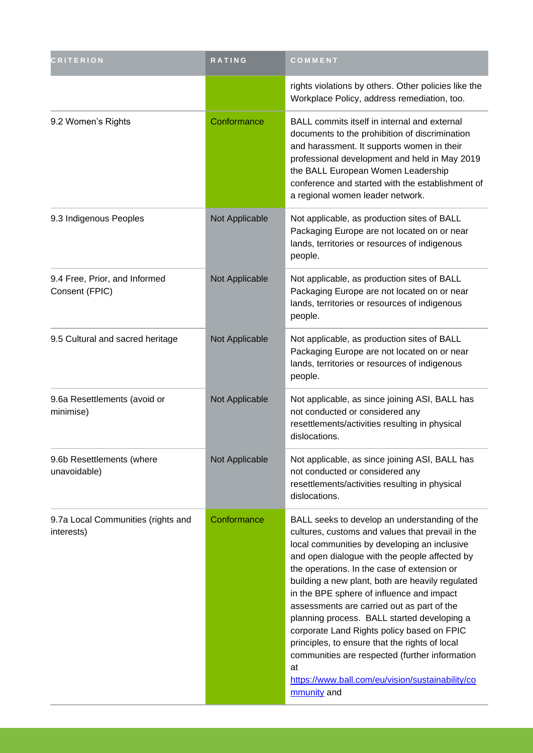| <b>CRITERION</b>                                 | RATING         | COMMENT                                                                                                                                                                                                                                                                                                                                                                                                                                                                                                                                                                                                                                                                    |
|--------------------------------------------------|----------------|----------------------------------------------------------------------------------------------------------------------------------------------------------------------------------------------------------------------------------------------------------------------------------------------------------------------------------------------------------------------------------------------------------------------------------------------------------------------------------------------------------------------------------------------------------------------------------------------------------------------------------------------------------------------------|
|                                                  |                | rights violations by others. Other policies like the<br>Workplace Policy, address remediation, too.                                                                                                                                                                                                                                                                                                                                                                                                                                                                                                                                                                        |
| 9.2 Women's Rights                               | Conformance    | BALL commits itself in internal and external<br>documents to the prohibition of discrimination<br>and harassment. It supports women in their<br>professional development and held in May 2019<br>the BALL European Women Leadership<br>conference and started with the establishment of<br>a regional women leader network.                                                                                                                                                                                                                                                                                                                                                |
| 9.3 Indigenous Peoples                           | Not Applicable | Not applicable, as production sites of BALL<br>Packaging Europe are not located on or near<br>lands, territories or resources of indigenous<br>people.                                                                                                                                                                                                                                                                                                                                                                                                                                                                                                                     |
| 9.4 Free, Prior, and Informed<br>Consent (FPIC)  | Not Applicable | Not applicable, as production sites of BALL<br>Packaging Europe are not located on or near<br>lands, territories or resources of indigenous<br>people.                                                                                                                                                                                                                                                                                                                                                                                                                                                                                                                     |
| 9.5 Cultural and sacred heritage                 | Not Applicable | Not applicable, as production sites of BALL<br>Packaging Europe are not located on or near<br>lands, territories or resources of indigenous<br>people.                                                                                                                                                                                                                                                                                                                                                                                                                                                                                                                     |
| 9.6a Resettlements (avoid or<br>minimise)        | Not Applicable | Not applicable, as since joining ASI, BALL has<br>not conducted or considered any<br>resettlements/activities resulting in physical<br>dislocations.                                                                                                                                                                                                                                                                                                                                                                                                                                                                                                                       |
| 9.6b Resettlements (where<br>unavoidable)        | Not Applicable | Not applicable, as since joining ASI, BALL has<br>not conducted or considered any<br>resettlements/activities resulting in physical<br>dislocations.                                                                                                                                                                                                                                                                                                                                                                                                                                                                                                                       |
| 9.7a Local Communities (rights and<br>interests) | Conformance    | BALL seeks to develop an understanding of the<br>cultures, customs and values that prevail in the<br>local communities by developing an inclusive<br>and open dialogue with the people affected by<br>the operations. In the case of extension or<br>building a new plant, both are heavily regulated<br>in the BPE sphere of influence and impact<br>assessments are carried out as part of the<br>planning process. BALL started developing a<br>corporate Land Rights policy based on FPIC<br>principles, to ensure that the rights of local<br>communities are respected (further information<br>at<br>https://www.ball.com/eu/vision/sustainability/co<br>mmunity and |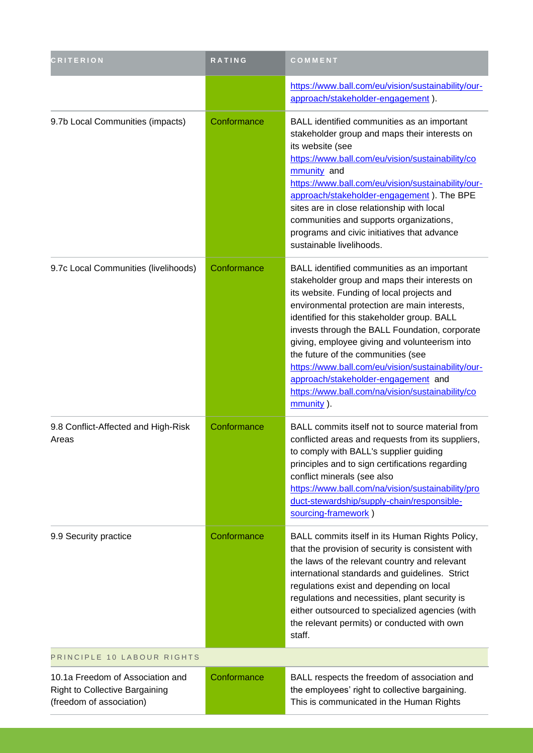| <b>CRITERION</b>                                                                               | <b>RATING</b> | COMMENT                                                                                                                                                                                                                                                                                                                                                                                                                                                                                                                                          |
|------------------------------------------------------------------------------------------------|---------------|--------------------------------------------------------------------------------------------------------------------------------------------------------------------------------------------------------------------------------------------------------------------------------------------------------------------------------------------------------------------------------------------------------------------------------------------------------------------------------------------------------------------------------------------------|
|                                                                                                |               | https://www.ball.com/eu/vision/sustainability/our-<br>approach/stakeholder-engagement).                                                                                                                                                                                                                                                                                                                                                                                                                                                          |
| 9.7b Local Communities (impacts)                                                               | Conformance   | BALL identified communities as an important<br>stakeholder group and maps their interests on<br>its website (see<br>https://www.ball.com/eu/vision/sustainability/co<br>mmunity and<br>https://www.ball.com/eu/vision/sustainability/our-<br>approach/stakeholder-engagement). The BPE<br>sites are in close relationship with local<br>communities and supports organizations,<br>programs and civic initiatives that advance<br>sustainable livelihoods.                                                                                       |
| 9.7c Local Communities (livelihoods)                                                           | Conformance   | BALL identified communities as an important<br>stakeholder group and maps their interests on<br>its website. Funding of local projects and<br>environmental protection are main interests,<br>identified for this stakeholder group. BALL<br>invests through the BALL Foundation, corporate<br>giving, employee giving and volunteerism into<br>the future of the communities (see<br>https://www.ball.com/eu/vision/sustainability/our-<br>approach/stakeholder-engagement and<br>https://www.ball.com/na/vision/sustainability/co<br>mmunity). |
| 9.8 Conflict-Affected and High-Risk<br>Areas                                                   | Conformance   | BALL commits itself not to source material from<br>conflicted areas and requests from its suppliers,<br>to comply with BALL's supplier guiding<br>principles and to sign certifications regarding<br>conflict minerals (see also<br>https://www.ball.com/na/vision/sustainability/pro<br>duct-stewardship/supply-chain/responsible-<br>sourcing-framework)                                                                                                                                                                                       |
| 9.9 Security practice                                                                          | Conformance   | BALL commits itself in its Human Rights Policy,<br>that the provision of security is consistent with<br>the laws of the relevant country and relevant<br>international standards and guidelines. Strict<br>regulations exist and depending on local<br>regulations and necessities, plant security is<br>either outsourced to specialized agencies (with<br>the relevant permits) or conducted with own<br>staff.                                                                                                                                |
| PRINCIPLE 10 LABOUR RIGHTS                                                                     |               |                                                                                                                                                                                                                                                                                                                                                                                                                                                                                                                                                  |
| 10.1a Freedom of Association and<br>Right to Collective Bargaining<br>(freedom of association) | Conformance   | BALL respects the freedom of association and<br>the employees' right to collective bargaining.<br>This is communicated in the Human Rights                                                                                                                                                                                                                                                                                                                                                                                                       |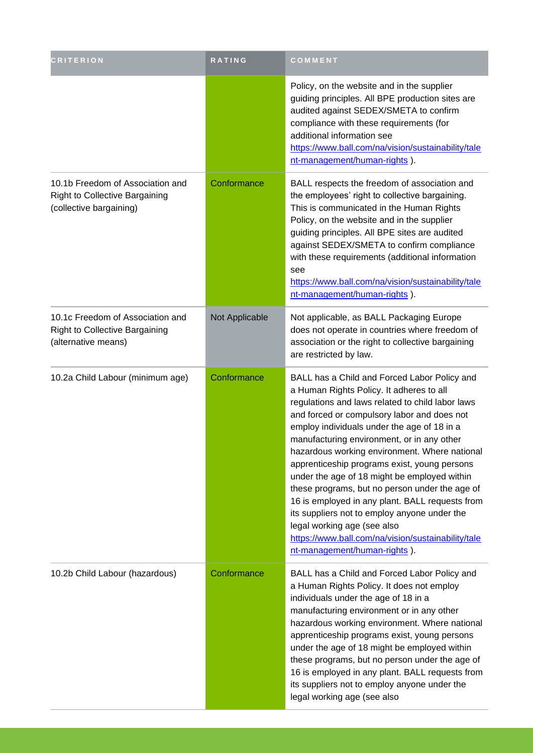| <b>CRITERION</b>                                                                                     | RATING         | COMMENT                                                                                                                                                                                                                                                                                                                                                                                                                                                                                                                                                                                                                                                                                                             |
|------------------------------------------------------------------------------------------------------|----------------|---------------------------------------------------------------------------------------------------------------------------------------------------------------------------------------------------------------------------------------------------------------------------------------------------------------------------------------------------------------------------------------------------------------------------------------------------------------------------------------------------------------------------------------------------------------------------------------------------------------------------------------------------------------------------------------------------------------------|
|                                                                                                      |                | Policy, on the website and in the supplier<br>guiding principles. All BPE production sites are<br>audited against SEDEX/SMETA to confirm<br>compliance with these requirements (for<br>additional information see<br>https://www.ball.com/na/vision/sustainability/tale<br>nt-management/human-rights).                                                                                                                                                                                                                                                                                                                                                                                                             |
| 10.1b Freedom of Association and<br><b>Right to Collective Bargaining</b><br>(collective bargaining) | Conformance    | BALL respects the freedom of association and<br>the employees' right to collective bargaining.<br>This is communicated in the Human Rights<br>Policy, on the website and in the supplier<br>guiding principles. All BPE sites are audited<br>against SEDEX/SMETA to confirm compliance<br>with these requirements (additional information<br>see<br>https://www.ball.com/na/vision/sustainability/tale<br>nt-management/human-rights).                                                                                                                                                                                                                                                                              |
| 10.1c Freedom of Association and<br><b>Right to Collective Bargaining</b><br>(alternative means)     | Not Applicable | Not applicable, as BALL Packaging Europe<br>does not operate in countries where freedom of<br>association or the right to collective bargaining<br>are restricted by law.                                                                                                                                                                                                                                                                                                                                                                                                                                                                                                                                           |
| 10.2a Child Labour (minimum age)                                                                     | Conformance    | BALL has a Child and Forced Labor Policy and<br>a Human Rights Policy. It adheres to all<br>regulations and laws related to child labor laws<br>and forced or compulsory labor and does not<br>employ individuals under the age of 18 in a<br>manufacturing environment, or in any other<br>hazardous working environment. Where national<br>apprenticeship programs exist, young persons<br>under the age of 18 might be employed within<br>these programs, but no person under the age of<br>16 is employed in any plant. BALL requests from<br>its suppliers not to employ anyone under the<br>legal working age (see also<br>https://www.ball.com/na/vision/sustainability/tale<br>nt-management/human-rights). |
| 10.2b Child Labour (hazardous)                                                                       | Conformance    | BALL has a Child and Forced Labor Policy and<br>a Human Rights Policy. It does not employ<br>individuals under the age of 18 in a<br>manufacturing environment or in any other<br>hazardous working environment. Where national<br>apprenticeship programs exist, young persons<br>under the age of 18 might be employed within<br>these programs, but no person under the age of<br>16 is employed in any plant. BALL requests from<br>its suppliers not to employ anyone under the<br>legal working age (see also                                                                                                                                                                                                 |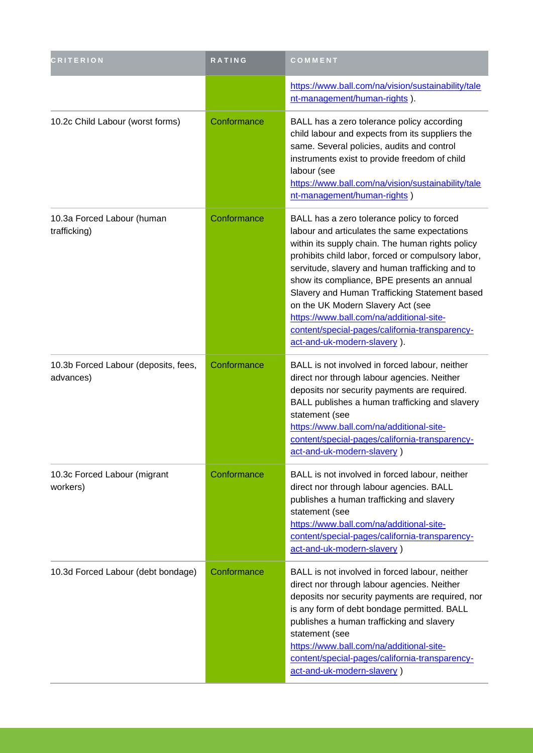| <b>CRITERION</b>                                  | RATING      | COMMENT                                                                                                                                                                                                                                                                                                                                                                                                                                                                                                                   |
|---------------------------------------------------|-------------|---------------------------------------------------------------------------------------------------------------------------------------------------------------------------------------------------------------------------------------------------------------------------------------------------------------------------------------------------------------------------------------------------------------------------------------------------------------------------------------------------------------------------|
|                                                   |             | https://www.ball.com/na/vision/sustainability/tale<br>nt-management/human-rights).                                                                                                                                                                                                                                                                                                                                                                                                                                        |
| 10.2c Child Labour (worst forms)                  | Conformance | BALL has a zero tolerance policy according<br>child labour and expects from its suppliers the<br>same. Several policies, audits and control<br>instruments exist to provide freedom of child<br>labour (see<br>https://www.ball.com/na/vision/sustainability/tale<br>nt-management/human-rights)                                                                                                                                                                                                                          |
| 10.3a Forced Labour (human<br>trafficking)        | Conformance | BALL has a zero tolerance policy to forced<br>labour and articulates the same expectations<br>within its supply chain. The human rights policy<br>prohibits child labor, forced or compulsory labor,<br>servitude, slavery and human trafficking and to<br>show its compliance, BPE presents an annual<br>Slavery and Human Trafficking Statement based<br>on the UK Modern Slavery Act (see<br>https://www.ball.com/na/additional-site-<br>content/special-pages/california-transparency-<br>act-and-uk-modern-slavery). |
| 10.3b Forced Labour (deposits, fees,<br>advances) | Conformance | BALL is not involved in forced labour, neither<br>direct nor through labour agencies. Neither<br>deposits nor security payments are required.<br>BALL publishes a human trafficking and slavery<br>statement (see<br>https://www.ball.com/na/additional-site-<br>content/special-pages/california-transparency-<br>act-and-uk-modern-slavery)                                                                                                                                                                             |
| 10.3c Forced Labour (migrant<br>workers)          | Conformance | BALL is not involved in forced labour, neither<br>direct nor through labour agencies. BALL<br>publishes a human trafficking and slavery<br>statement (see<br>https://www.ball.com/na/additional-site-<br>content/special-pages/california-transparency-<br>act-and-uk-modern-slavery)                                                                                                                                                                                                                                     |
| 10.3d Forced Labour (debt bondage)                | Conformance | BALL is not involved in forced labour, neither<br>direct nor through labour agencies. Neither<br>deposits nor security payments are required, nor<br>is any form of debt bondage permitted. BALL<br>publishes a human trafficking and slavery<br>statement (see<br>https://www.ball.com/na/additional-site-<br>content/special-pages/california-transparency-<br>act-and-uk-modern-slavery)                                                                                                                               |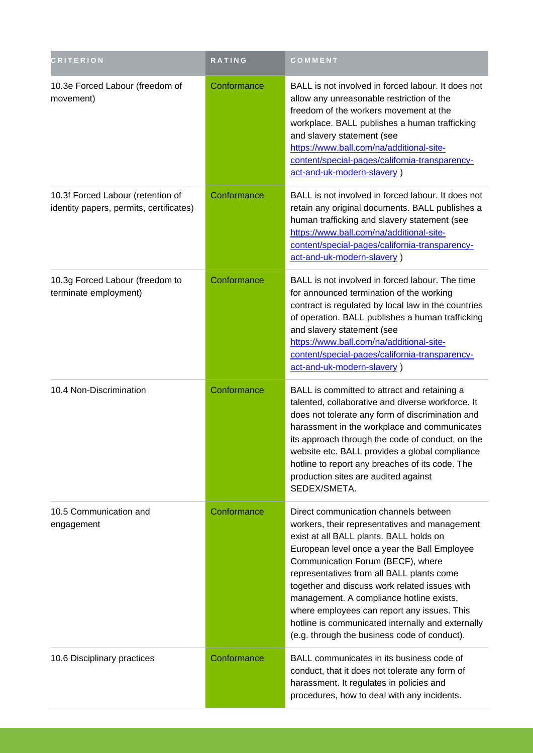| <b>CRITERION</b>                                                             | RATING      | COMMENT                                                                                                                                                                                                                                                                                                                                                                                                                                                                                                              |
|------------------------------------------------------------------------------|-------------|----------------------------------------------------------------------------------------------------------------------------------------------------------------------------------------------------------------------------------------------------------------------------------------------------------------------------------------------------------------------------------------------------------------------------------------------------------------------------------------------------------------------|
| 10.3e Forced Labour (freedom of<br>movement)                                 | Conformance | BALL is not involved in forced labour. It does not<br>allow any unreasonable restriction of the<br>freedom of the workers movement at the<br>workplace. BALL publishes a human trafficking<br>and slavery statement (see<br>https://www.ball.com/na/additional-site-<br>content/special-pages/california-transparency-<br>act-and-uk-modern-slavery)                                                                                                                                                                 |
| 10.3f Forced Labour (retention of<br>identity papers, permits, certificates) | Conformance | BALL is not involved in forced labour. It does not<br>retain any original documents. BALL publishes a<br>human trafficking and slavery statement (see<br>https://www.ball.com/na/additional-site-<br>content/special-pages/california-transparency-<br>act-and-uk-modern-slavery)                                                                                                                                                                                                                                    |
| 10.3g Forced Labour (freedom to<br>terminate employment)                     | Conformance | BALL is not involved in forced labour. The time<br>for announced termination of the working<br>contract is regulated by local law in the countries<br>of operation. BALL publishes a human trafficking<br>and slavery statement (see<br>https://www.ball.com/na/additional-site-<br>content/special-pages/california-transparency-<br>act-and-uk-modern-slavery)                                                                                                                                                     |
| 10.4 Non-Discrimination                                                      | Conformance | BALL is committed to attract and retaining a<br>talented, collaborative and diverse workforce. It<br>does not tolerate any form of discrimination and<br>harassment in the workplace and communicates<br>its approach through the code of conduct, on the<br>website etc. BALL provides a global compliance<br>hotline to report any breaches of its code. The<br>production sites are audited against<br>SEDEX/SMETA.                                                                                               |
| 10.5 Communication and<br>engagement                                         | Conformance | Direct communication channels between<br>workers, their representatives and management<br>exist at all BALL plants. BALL holds on<br>European level once a year the Ball Employee<br>Communication Forum (BECF), where<br>representatives from all BALL plants come<br>together and discuss work related issues with<br>management. A compliance hotline exists,<br>where employees can report any issues. This<br>hotline is communicated internally and externally<br>(e.g. through the business code of conduct). |
| 10.6 Disciplinary practices                                                  | Conformance | BALL communicates in its business code of<br>conduct, that it does not tolerate any form of<br>harassment. It regulates in policies and<br>procedures, how to deal with any incidents.                                                                                                                                                                                                                                                                                                                               |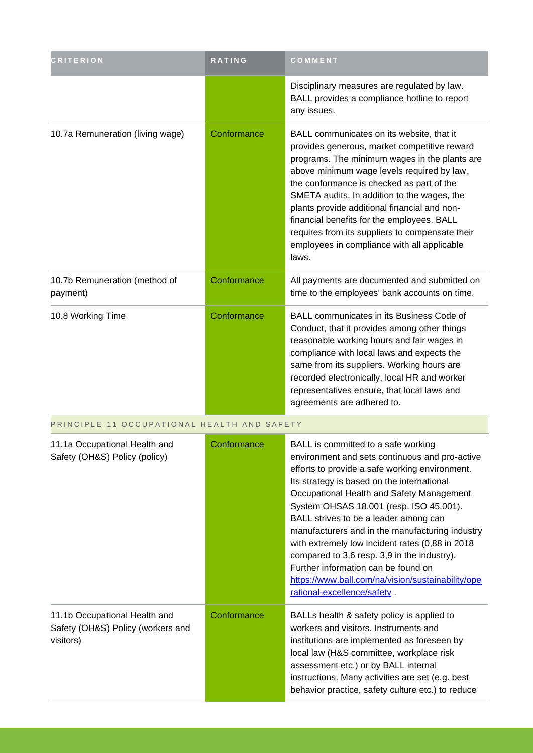| <b>CRITERION</b>                                                                | RATING      | COMMENT                                                                                                                                                                                                                                                                                                                                                                                                                                                                                                                                                                                                |
|---------------------------------------------------------------------------------|-------------|--------------------------------------------------------------------------------------------------------------------------------------------------------------------------------------------------------------------------------------------------------------------------------------------------------------------------------------------------------------------------------------------------------------------------------------------------------------------------------------------------------------------------------------------------------------------------------------------------------|
|                                                                                 |             | Disciplinary measures are regulated by law.<br>BALL provides a compliance hotline to report<br>any issues.                                                                                                                                                                                                                                                                                                                                                                                                                                                                                             |
| 10.7a Remuneration (living wage)                                                | Conformance | BALL communicates on its website, that it<br>provides generous, market competitive reward<br>programs. The minimum wages in the plants are<br>above minimum wage levels required by law,<br>the conformance is checked as part of the<br>SMETA audits. In addition to the wages, the<br>plants provide additional financial and non-<br>financial benefits for the employees. BALL<br>requires from its suppliers to compensate their<br>employees in compliance with all applicable<br>laws.                                                                                                          |
| 10.7b Remuneration (method of<br>payment)                                       | Conformance | All payments are documented and submitted on<br>time to the employees' bank accounts on time.                                                                                                                                                                                                                                                                                                                                                                                                                                                                                                          |
| 10.8 Working Time                                                               | Conformance | BALL communicates in its Business Code of<br>Conduct, that it provides among other things<br>reasonable working hours and fair wages in<br>compliance with local laws and expects the<br>same from its suppliers. Working hours are<br>recorded electronically, local HR and worker<br>representatives ensure, that local laws and<br>agreements are adhered to.                                                                                                                                                                                                                                       |
| PRINCIPLE 11 OCCUPATIONAL HEALTH AND SAFETY                                     |             |                                                                                                                                                                                                                                                                                                                                                                                                                                                                                                                                                                                                        |
| 11.1a Occupational Health and<br>Safety (OH&S) Policy (policy)                  | Conformance | BALL is committed to a safe working<br>environment and sets continuous and pro-active<br>efforts to provide a safe working environment.<br>Its strategy is based on the international<br>Occupational Health and Safety Management<br>System OHSAS 18.001 (resp. ISO 45.001).<br>BALL strives to be a leader among can<br>manufacturers and in the manufacturing industry<br>with extremely low incident rates (0,88 in 2018<br>compared to 3,6 resp. 3,9 in the industry).<br>Further information can be found on<br>https://www.ball.com/na/vision/sustainability/ope<br>rational-excellence/safety. |
| 11.1b Occupational Health and<br>Safety (OH&S) Policy (workers and<br>visitors) | Conformance | BALLs health & safety policy is applied to<br>workers and visitors. Instruments and<br>institutions are implemented as foreseen by<br>local law (H&S committee, workplace risk<br>assessment etc.) or by BALL internal<br>instructions. Many activities are set (e.g. best<br>behavior practice, safety culture etc.) to reduce                                                                                                                                                                                                                                                                        |